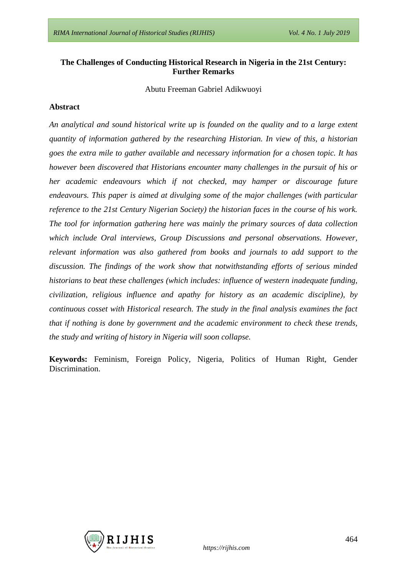## **The Challenges of Conducting Historical Research in Nigeria in the 21st Century: Further Remarks**

Abutu Freeman Gabriel Adikwuoyi

#### **Abstract**

*An analytical and sound historical write up is founded on the quality and to a large extent quantity of information gathered by the researching Historian. In view of this, a historian goes the extra mile to gather available and necessary information for a chosen topic. It has however been discovered that Historians encounter many challenges in the pursuit of his or her academic endeavours which if not checked, may hamper or discourage future endeavours. This paper is aimed at divulging some of the major challenges (with particular reference to the 21st Century Nigerian Society) the historian faces in the course of his work. The tool for information gathering here was mainly the primary sources of data collection which include Oral interviews, Group Discussions and personal observations. However, relevant information was also gathered from books and journals to add support to the discussion. The findings of the work show that notwithstanding efforts of serious minded historians to beat these challenges (which includes: influence of western inadequate funding, civilization, religious influence and apathy for history as an academic discipline), by continuous cosset with Historical research. The study in the final analysis examines the fact that if nothing is done by government and the academic environment to check these trends, the study and writing of history in Nigeria will soon collapse.*

**Keywords:** Feminism, Foreign Policy, Nigeria, Politics of Human Right, Gender Discrimination.

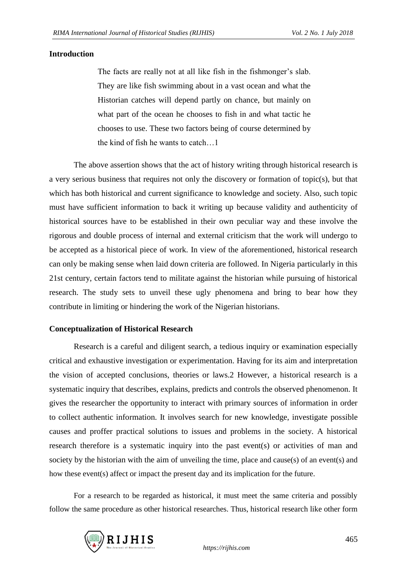## **Introduction**

The facts are really not at all like fish in the fishmonger's slab. They are like fish swimming about in a vast ocean and what the Historian catches will depend partly on chance, but mainly on what part of the ocean he chooses to fish in and what tactic he chooses to use. These two factors being of course determined by the kind of fish he wants to catch…1

The above assertion shows that the act of history writing through historical research is a very serious business that requires not only the discovery or formation of topic(s), but that which has both historical and current significance to knowledge and society. Also, such topic must have sufficient information to back it writing up because validity and authenticity of historical sources have to be established in their own peculiar way and these involve the rigorous and double process of internal and external criticism that the work will undergo to be accepted as a historical piece of work. In view of the aforementioned, historical research can only be making sense when laid down criteria are followed. In Nigeria particularly in this 21st century, certain factors tend to militate against the historian while pursuing of historical research. The study sets to unveil these ugly phenomena and bring to bear how they contribute in limiting or hindering the work of the Nigerian historians.

## **Conceptualization of Historical Research**

Research is a careful and diligent search, a tedious inquiry or examination especially critical and exhaustive investigation or experimentation. Having for its aim and interpretation the vision of accepted conclusions, theories or laws.2 However, a historical research is a systematic inquiry that describes, explains, predicts and controls the observed phenomenon. It gives the researcher the opportunity to interact with primary sources of information in order to collect authentic information. It involves search for new knowledge, investigate possible causes and proffer practical solutions to issues and problems in the society. A historical research therefore is a systematic inquiry into the past event(s) or activities of man and society by the historian with the aim of unveiling the time, place and cause(s) of an event(s) and how these event(s) affect or impact the present day and its implication for the future.

For a research to be regarded as historical, it must meet the same criteria and possibly follow the same procedure as other historical researches. Thus, historical research like other form

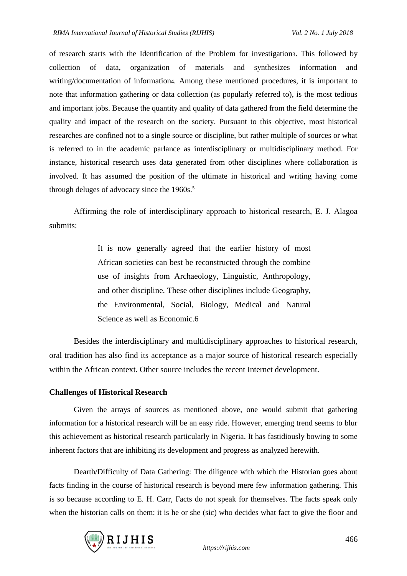of research starts with the Identification of the Problem for investigation3. This followed by collection of data, organization of materials and synthesizes information and writing/documentation of information4. Among these mentioned procedures, it is important to note that information gathering or data collection (as popularly referred to), is the most tedious and important jobs. Because the quantity and quality of data gathered from the field determine the quality and impact of the research on the society. Pursuant to this objective, most historical researches are confined not to a single source or discipline, but rather multiple of sources or what is referred to in the academic parlance as interdisciplinary or multidisciplinary method. For instance, historical research uses data generated from other disciplines where collaboration is involved. It has assumed the position of the ultimate in historical and writing having come through deluges of advocacy since the 1960s. 5

Affirming the role of interdisciplinary approach to historical research, E. J. Alagoa submits:

> It is now generally agreed that the earlier history of most African societies can best be reconstructed through the combine use of insights from Archaeology, Linguistic, Anthropology, and other discipline. These other disciplines include Geography, the Environmental, Social, Biology, Medical and Natural Science as well as Economic.6

Besides the interdisciplinary and multidisciplinary approaches to historical research, oral tradition has also find its acceptance as a major source of historical research especially within the African context. Other source includes the recent Internet development.

#### **Challenges of Historical Research**

Given the arrays of sources as mentioned above, one would submit that gathering information for a historical research will be an easy ride. However, emerging trend seems to blur this achievement as historical research particularly in Nigeria. It has fastidiously bowing to some inherent factors that are inhibiting its development and progress as analyzed herewith.

Dearth/Difficulty of Data Gathering: The diligence with which the Historian goes about facts finding in the course of historical research is beyond mere few information gathering. This is so because according to E. H. Carr, Facts do not speak for themselves. The facts speak only when the historian calls on them: it is he or she (sic) who decides what fact to give the floor and

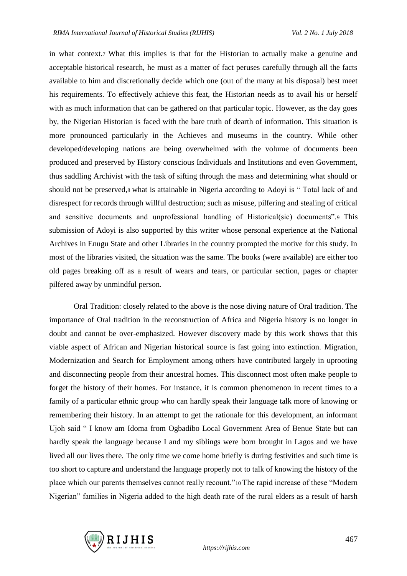in what context.7 What this implies is that for the Historian to actually make a genuine and acceptable historical research, he must as a matter of fact peruses carefully through all the facts available to him and discretionally decide which one (out of the many at his disposal) best meet his requirements. To effectively achieve this feat, the Historian needs as to avail his or herself with as much information that can be gathered on that particular topic. However, as the day goes by, the Nigerian Historian is faced with the bare truth of dearth of information. This situation is more pronounced particularly in the Achieves and museums in the country. While other developed/developing nations are being overwhelmed with the volume of documents been produced and preserved by History conscious Individuals and Institutions and even Government, thus saddling Archivist with the task of sifting through the mass and determining what should or should not be preserved,8 what is attainable in Nigeria according to Adoyi is " Total lack of and disrespect for records through willful destruction; such as misuse, pilfering and stealing of critical and sensitive documents and unprofessional handling of Historical(sic) documents".9 This submission of Adoyi is also supported by this writer whose personal experience at the National Archives in Enugu State and other Libraries in the country prompted the motive for this study. In most of the libraries visited, the situation was the same. The books (were available) are either too old pages breaking off as a result of wears and tears, or particular section, pages or chapter pilfered away by unmindful person.

Oral Tradition: closely related to the above is the nose diving nature of Oral tradition. The importance of Oral tradition in the reconstruction of Africa and Nigeria history is no longer in doubt and cannot be over-emphasized. However discovery made by this work shows that this viable aspect of African and Nigerian historical source is fast going into extinction. Migration, Modernization and Search for Employment among others have contributed largely in uprooting and disconnecting people from their ancestral homes. This disconnect most often make people to forget the history of their homes. For instance, it is common phenomenon in recent times to a family of a particular ethnic group who can hardly speak their language talk more of knowing or remembering their history. In an attempt to get the rationale for this development, an informant Ujoh said " I know am Idoma from Ogbadibo Local Government Area of Benue State but can hardly speak the language because I and my siblings were born brought in Lagos and we have lived all our lives there. The only time we come home briefly is during festivities and such time is too short to capture and understand the language properly not to talk of knowing the history of the place which our parents themselves cannot really recount."10 The rapid increase of these "Modern Nigerian" families in Nigeria added to the high death rate of the rural elders as a result of harsh

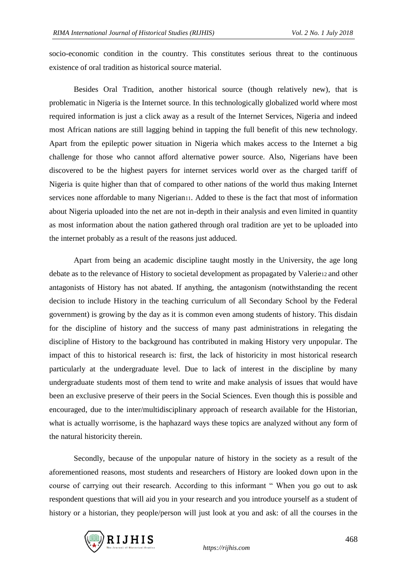socio-economic condition in the country. This constitutes serious threat to the continuous existence of oral tradition as historical source material.

Besides Oral Tradition, another historical source (though relatively new), that is problematic in Nigeria is the Internet source. In this technologically globalized world where most required information is just a click away as a result of the Internet Services, Nigeria and indeed most African nations are still lagging behind in tapping the full benefit of this new technology. Apart from the epileptic power situation in Nigeria which makes access to the Internet a big challenge for those who cannot afford alternative power source. Also, Nigerians have been discovered to be the highest payers for internet services world over as the charged tariff of Nigeria is quite higher than that of compared to other nations of the world thus making Internet services none affordable to many Nigerian11. Added to these is the fact that most of information about Nigeria uploaded into the net are not in-depth in their analysis and even limited in quantity as most information about the nation gathered through oral tradition are yet to be uploaded into the internet probably as a result of the reasons just adduced.

Apart from being an academic discipline taught mostly in the University, the age long debate as to the relevance of History to societal development as propagated by Valerie12 and other antagonists of History has not abated. If anything, the antagonism (notwithstanding the recent decision to include History in the teaching curriculum of all Secondary School by the Federal government) is growing by the day as it is common even among students of history. This disdain for the discipline of history and the success of many past administrations in relegating the discipline of History to the background has contributed in making History very unpopular. The impact of this to historical research is: first, the lack of historicity in most historical research particularly at the undergraduate level. Due to lack of interest in the discipline by many undergraduate students most of them tend to write and make analysis of issues that would have been an exclusive preserve of their peers in the Social Sciences. Even though this is possible and encouraged, due to the inter/multidisciplinary approach of research available for the Historian, what is actually worrisome, is the haphazard ways these topics are analyzed without any form of the natural historicity therein.

Secondly, because of the unpopular nature of history in the society as a result of the aforementioned reasons, most students and researchers of History are looked down upon in the course of carrying out their research. According to this informant " When you go out to ask respondent questions that will aid you in your research and you introduce yourself as a student of history or a historian, they people/person will just look at you and ask: of all the courses in the

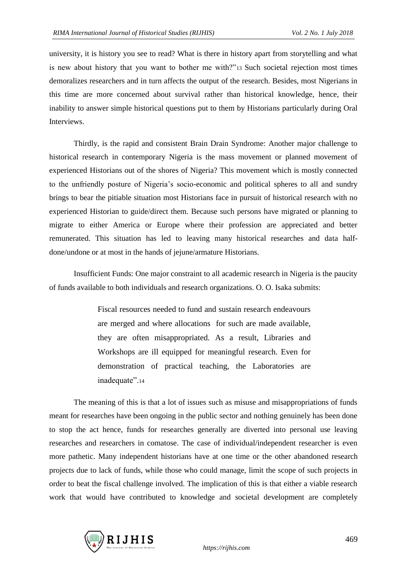university, it is history you see to read? What is there in history apart from storytelling and what is new about history that you want to bother me with?"13 Such societal rejection most times demoralizes researchers and in turn affects the output of the research. Besides, most Nigerians in this time are more concerned about survival rather than historical knowledge, hence, their inability to answer simple historical questions put to them by Historians particularly during Oral **Interviews** 

Thirdly, is the rapid and consistent Brain Drain Syndrome: Another major challenge to historical research in contemporary Nigeria is the mass movement or planned movement of experienced Historians out of the shores of Nigeria? This movement which is mostly connected to the unfriendly posture of Nigeria's socio-economic and political spheres to all and sundry brings to bear the pitiable situation most Historians face in pursuit of historical research with no experienced Historian to guide/direct them. Because such persons have migrated or planning to migrate to either America or Europe where their profession are appreciated and better remunerated. This situation has led to leaving many historical researches and data halfdone/undone or at most in the hands of jejune/armature Historians.

Insufficient Funds: One major constraint to all academic research in Nigeria is the paucity of funds available to both individuals and research organizations. O. O. Isaka submits:

> Fiscal resources needed to fund and sustain research endeavours are merged and where allocations for such are made available, they are often misappropriated. As a result, Libraries and Workshops are ill equipped for meaningful research. Even for demonstration of practical teaching, the Laboratories are inadequate".<sup>14</sup>

The meaning of this is that a lot of issues such as misuse and misappropriations of funds meant for researches have been ongoing in the public sector and nothing genuinely has been done to stop the act hence, funds for researches generally are diverted into personal use leaving researches and researchers in comatose. The case of individual/independent researcher is even more pathetic. Many independent historians have at one time or the other abandoned research projects due to lack of funds, while those who could manage, limit the scope of such projects in order to beat the fiscal challenge involved. The implication of this is that either a viable research work that would have contributed to knowledge and societal development are completely

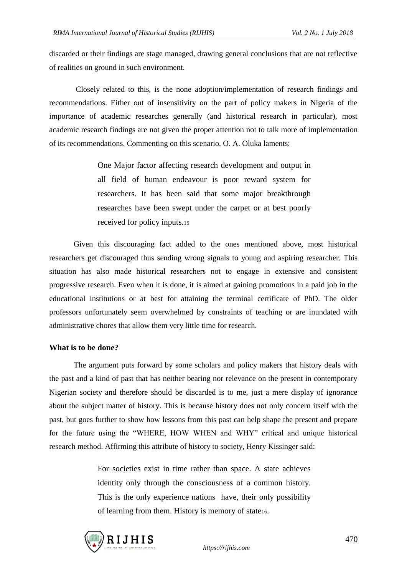discarded or their findings are stage managed, drawing general conclusions that are not reflective of realities on ground in such environment.

Closely related to this, is the none adoption/implementation of research findings and recommendations. Either out of insensitivity on the part of policy makers in Nigeria of the importance of academic researches generally (and historical research in particular), most academic research findings are not given the proper attention not to talk more of implementation of its recommendations. Commenting on this scenario, O. A. Oluka laments:

> One Major factor affecting research development and output in all field of human endeavour is poor reward system for researchers. It has been said that some major breakthrough researches have been swept under the carpet or at best poorly received for policy inputs.<sup>15</sup>

Given this discouraging fact added to the ones mentioned above, most historical researchers get discouraged thus sending wrong signals to young and aspiring researcher. This situation has also made historical researchers not to engage in extensive and consistent progressive research. Even when it is done, it is aimed at gaining promotions in a paid job in the educational institutions or at best for attaining the terminal certificate of PhD. The older professors unfortunately seem overwhelmed by constraints of teaching or are inundated with administrative chores that allow them very little time for research.

#### **What is to be done?**

The argument puts forward by some scholars and policy makers that history deals with the past and a kind of past that has neither bearing nor relevance on the present in contemporary Nigerian society and therefore should be discarded is to me, just a mere display of ignorance about the subject matter of history. This is because history does not only concern itself with the past, but goes further to show how lessons from this past can help shape the present and prepare for the future using the "WHERE, HOW WHEN and WHY" critical and unique historical research method. Affirming this attribute of history to society, Henry Kissinger said:

> For societies exist in time rather than space. A state achieves identity only through the consciousness of a common history. This is the only experience nations have, their only possibility of learning from them. History is memory of state16.

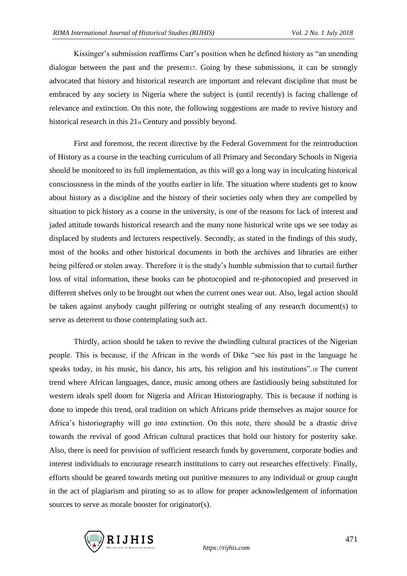Kissinger's submission reaffirms Carr's position when he defined history as "an unending dialogue between the past and the present17. Going by these submissions, it can be strongly advocated that history and historical research are important and relevant discipline that must be embraced by any society in Nigeria where the subject is (until recently) is facing challenge of relevance and extinction. On this note, the following suggestions are made to revive history and historical research in this 21st Century and possibly beyond.

First and foremost, the recent directive by the Federal Government for the reintroduction of History as a course in the teaching curriculum of all Primary and Secondary Schools in Nigeria should be monitored to its full implementation, as this will go a long way in inculcating historical consciousness in the minds of the youths earlier in life. The situation where students get to know about history as a discipline and the history of their societies only when they are compelled by situation to pick history as a course in the university, is one of the reasons for lack of interest and jaded attitude towards historical research and the many none historical write ups we see today as displaced by students and lecturers respectively. Secondly, as stated in the findings of this study, most of the books and other historical documents in both the archives and libraries are either being pilfered or stolen away. Therefore it is the study's humble submission that to curtail further loss of vital information, these books can be photocopied and re-photocopied and preserved in different shelves only to be brought out when the current ones wear out. Also, legal action should be taken against anybody caught pilfering or outright stealing of any research document(s) to serve as deterrent to those contemplating such act.

Thirdly, action should be taken to revive the dwindling cultural practices of the Nigerian people. This is because, if the African in the words of Dike "see his past in the language he speaks today, in his music, his dance, his arts, his religion and his institutions".18 The current trend where African languages, dance, music among others are fastidiously being substituted for western ideals spell doom for Nigeria and African Historiography. This is because if nothing is done to impede this trend, oral tradition on which Africans pride themselves as major source for Africa's historiography will go into extinction. On this note, there should be a drastic drive towards the revival of good African cultural practices that hold our history for posterity sake. Also, there is need for provision of sufficient research funds by government, corporate bodies and interest individuals to encourage research institutions to carry out researches effectively. Finally, efforts should be geared towards meting out punitive measures to any individual or group caught in the act of plagiarism and pirating so as to allow for proper acknowledgement of information sources to serve as morale booster for originator(s).

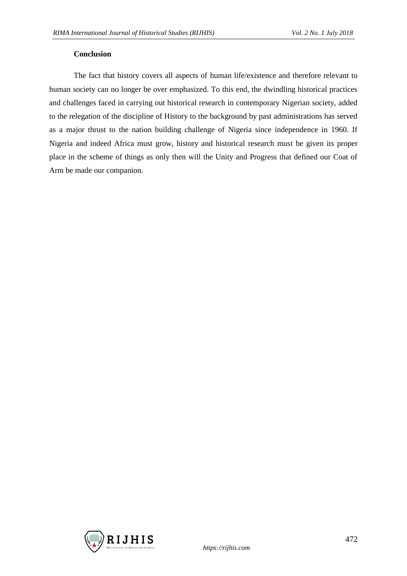#### **Conclusion**

The fact that history covers all aspects of human life/existence and therefore relevant to human society can no longer be over emphasized. To this end, the dwindling historical practices and challenges faced in carrying out historical research in contemporary Nigerian society, added to the relegation of the discipline of History to the background by past administrations has served as a major thrust to the nation building challenge of Nigeria since independence in 1960. If Nigeria and indeed Africa must grow, history and historical research must be given its proper place in the scheme of things as only then will the Unity and Progress that defined our Coat of Arm be made our companion.